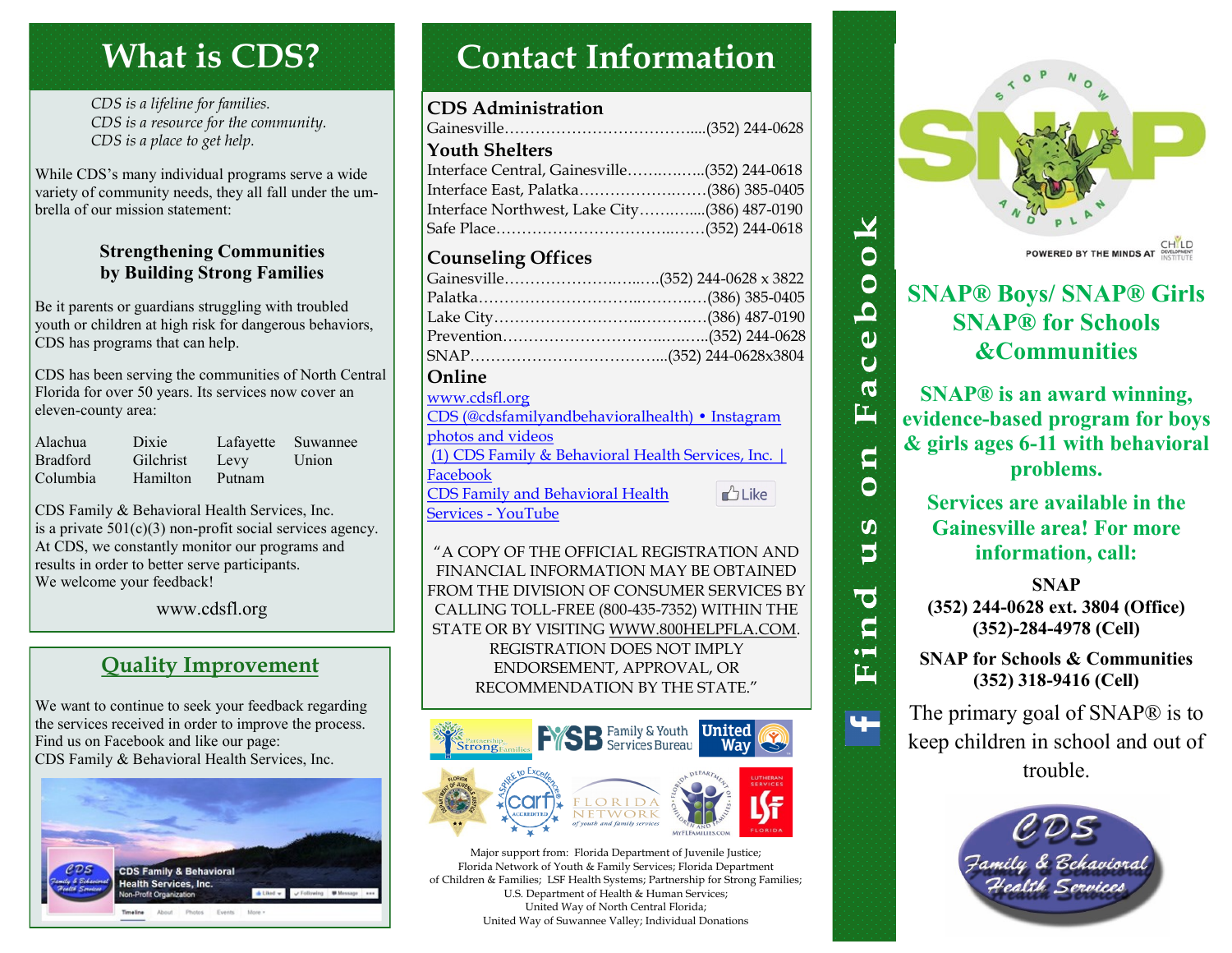# **What is CDS?**

*CDS is a lifeline for families. CDS is a resource for the community. CDS is a place to get help.*

While CDS's many individual programs serve a wide variety of community needs, they all fall under the umbrella of our mission statement:

#### **Strengthening Communities by Building Strong Families**

Be it parents or guardians struggling with troubled youth or children at high risk for dangerous behaviors, CDS has programs that can help.

CDS has been serving the communities of North Central Florida for over 50 years. Its services now cover an eleven-county area:

| Alachua         | Dixie     | Lafayette Suwannee |       |
|-----------------|-----------|--------------------|-------|
| <b>Bradford</b> | Gilchrist | Levy               | Union |
| Columbia        | Hamilton  | Putnam             |       |

CDS Family & Behavioral Health Services, Inc. is a private  $501(c)(3)$  non-profit social services agency. At CDS, we constantly monitor our programs and results in order to better serve participants. We welcome your feedback!

www.cdsfl.org

## **Quality Improvement**

We want to continue to seek your feedback regarding the services received in order to improve the process. Find us on Facebook and like our page: CDS Family & Behavioral Health Services, Inc.



# **Contact Information**

### **CDS Administration**

| <b>Youth Shelters</b>                        |  |
|----------------------------------------------|--|
| Interface Central, Gainesville(352) 244-0618 |  |
| Interface East, Palatka(386) 385-0405        |  |
| Interface Northwest, Lake City(386) 487-0190 |  |
|                                              |  |
|                                              |  |

### **Counseling Offices**

| Gainesville(352)                    244-0628 x 3822 |  |
|-----------------------------------------------------|--|
|                                                     |  |
|                                                     |  |
|                                                     |  |
|                                                     |  |
| ∩nlina                                              |  |

#### **Online**

| www.cdsfl.org                                     |               |
|---------------------------------------------------|---------------|
| CDS (@cdsfamilyandbehavioralhealth) • Instagram   |               |
| photos and videos                                 |               |
| (1) CDS Family & Behavioral Health Services, Inc. |               |
| Facebook                                          |               |
| <b>CDS Family and Behavioral Health</b>           | <b>D</b> Like |
| <b>Services - YouTube</b>                         |               |

"A COPY OF THE OFFICIAL REGISTRATION AND FINANCIAL INFORMATION MAY BE OBTAINED FROM THE DIVISION OF CONSUMER SERVICES BY CALLING TOLL-FREE (800-435-7352) WITHIN THE STATE OR BY VISITING WWW.800HELPFLA.COM. REGISTRATION DOES NOT IMPLY ENDORSEMENT, APPROVAL, OR RECOMMENDATION BY THE STATE."



Major support from: Florida Department of Juvenile Justice; Florida Network of Youth & Family Services; Florida Department of Children & Families; LSF Health Systems; Partnership for Strong Families; U.S. Department of Health & Human Services; United Way of North Central Florida; United Way of Suwannee Valley; Individual Donations



**Noop** 

 $\ddot{\mathbf{u}}$ Ö

凹

Ô

Ë

重

4

**SNAP for Schools & Communities (352) 318-9416 (Cell)**

The primary goal of SNAP® is to keep children in school and out of trouble.